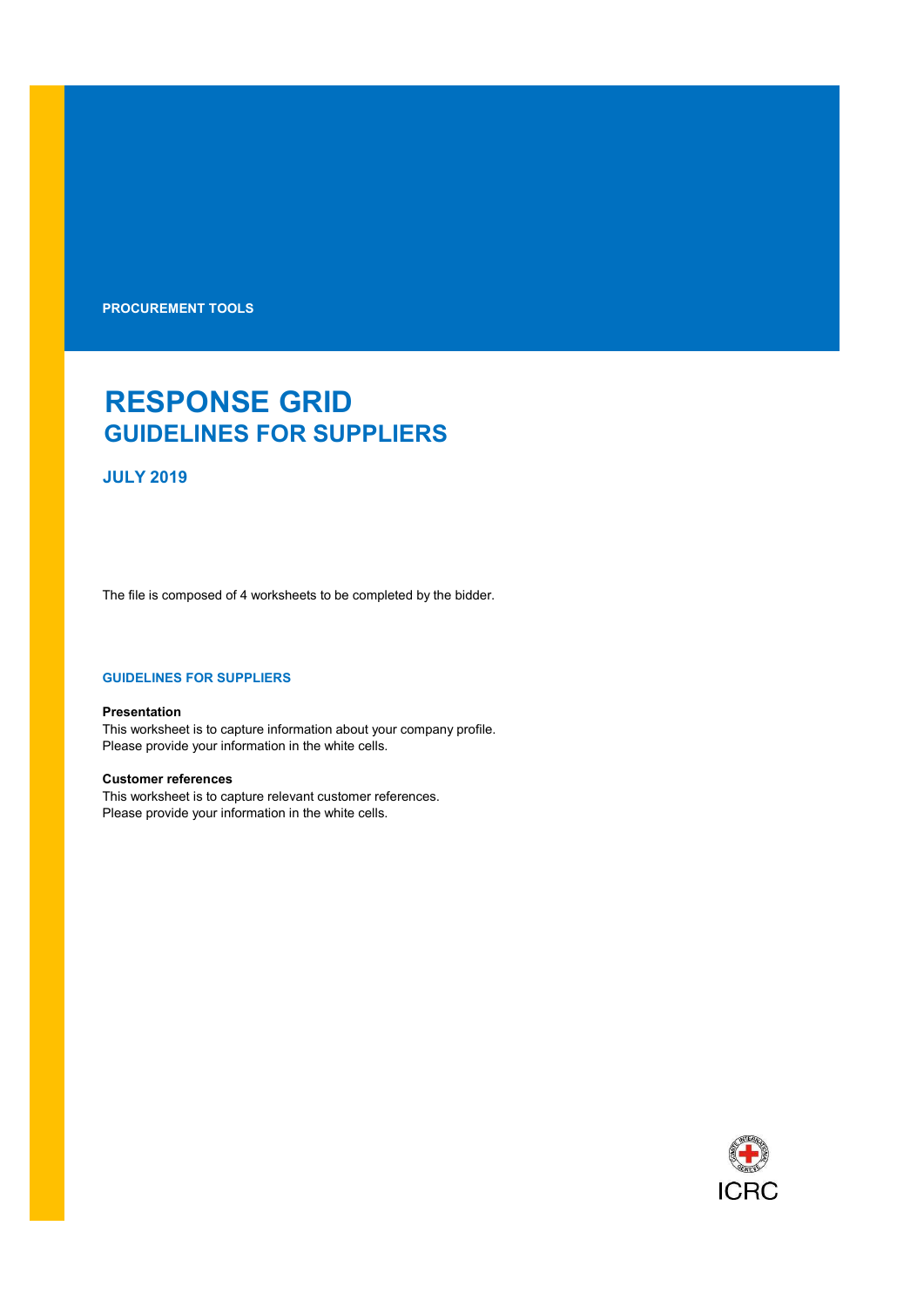PROCUREMENT TOOLS

# RESPONSE GRID GUIDELINES FOR SUPPLIERS

## JULY 2019

The file is composed of 4 worksheets to be completed by the bidder.

### GUIDELINES FOR SUPPLIERS

#### Presentation

This worksheet is to capture information about your company profile. Please provide your information in the white cells.

## Customer references

This worksheet is to capture relevant customer references. Please provide your information in the white cells.

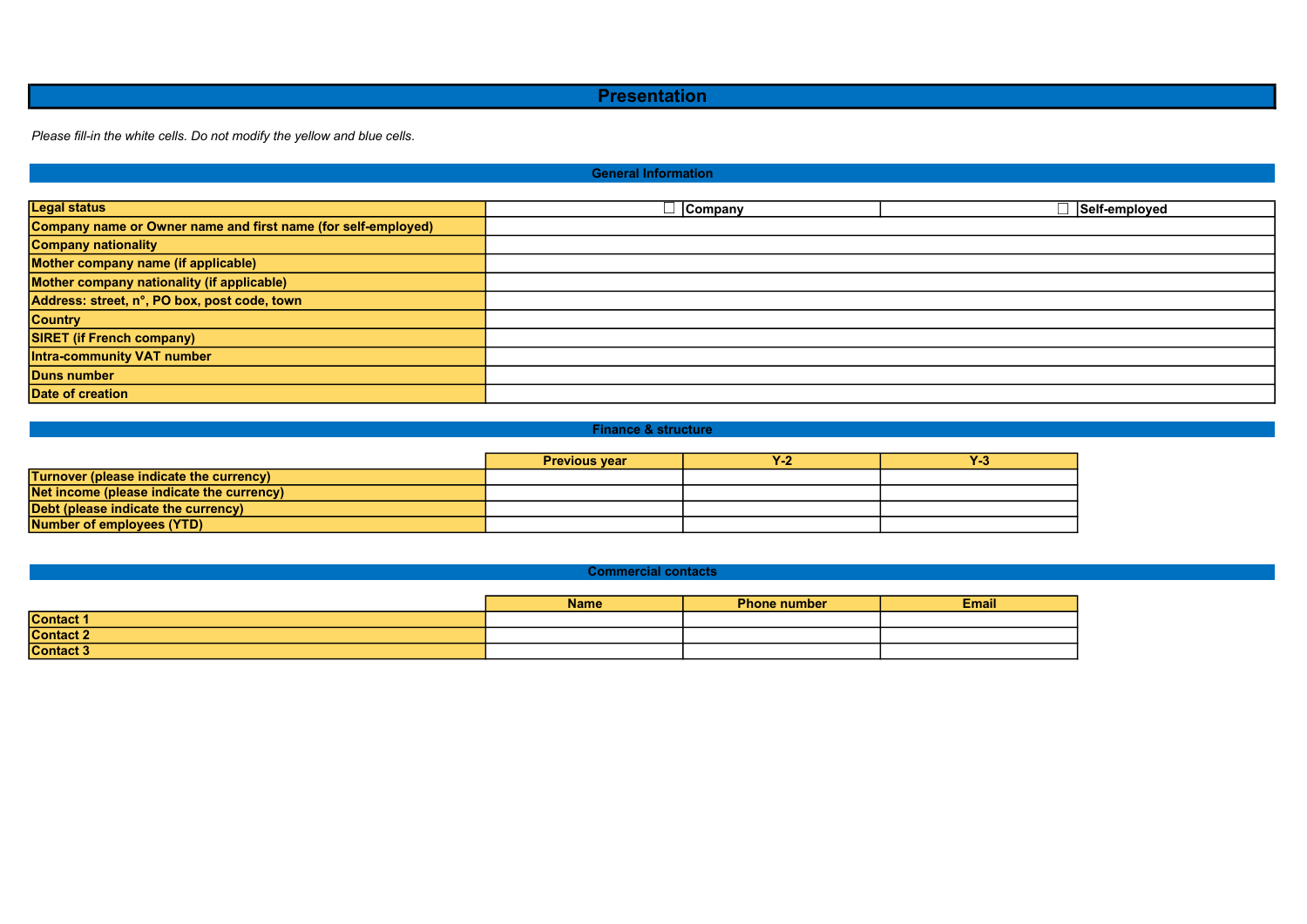## **Presentation**

Please fill-in the white cells. Do not modify the yellow and blue cells.

## General Information

| <b>Legal status</b>                                           | <b>Company</b> | ∃ Self-employed |
|---------------------------------------------------------------|----------------|-----------------|
| Company name or Owner name and first name (for self-employed) |                |                 |
| <b>Company nationality</b>                                    |                |                 |
| Mother company name (if applicable)                           |                |                 |
| Mother company nationality (if applicable)                    |                |                 |
| Address: street, n°, PO box, post code, town                  |                |                 |
| <b>Country</b>                                                |                |                 |
| <b>SIRET (if French company)</b>                              |                |                 |
| Intra-community VAT number                                    |                |                 |
| <b>Duns number</b>                                            |                |                 |
| Date of creation                                              |                |                 |

#### Finance & structure

|                                                  | <b>Previous vear</b> | <b>T</b> 2 | <b>TES</b> |
|--------------------------------------------------|----------------------|------------|------------|
| <b>Turnover (please indicate the currency)</b>   |                      |            |            |
| <b>Net income (please indicate the currency)</b> |                      |            |            |
| Debt (please indicate the currency)              |                      |            |            |
| Number of employees (YTD)                        |                      |            |            |

#### Commercial contacts

|                  | <b>Name</b> | <b>Phone number</b> | <b>Email</b> |
|------------------|-------------|---------------------|--------------|
| <b>Contact 1</b> |             |                     |              |
| <b>Contact 2</b> |             |                     |              |
| <b>Contact 3</b> |             |                     |              |